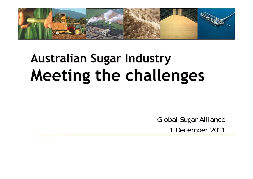

# **Australian Sugar Industry Meeting the challenges**

Global Sugar Alliance 1 December 2011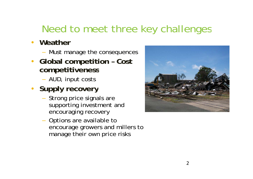## Need to meet three key challenges

- **Weather**
	- Must manage the consequences
- **Global competition – Cost competitiveness**
	- AUD, input costs
- **Supply recovery**
	- Strong price signals are supporting investment and encouraging recovery
	- Options are available to encourage growers and millers to manage their own price risks

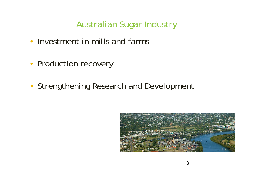- Investment in mills and farms
- Production recovery
- Strengthening Research and Development

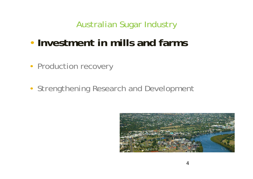- •**Investment in mills and farms**
- Production recovery
- Strengthening Research and Development

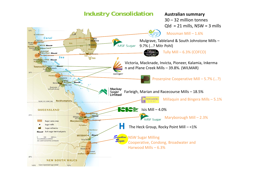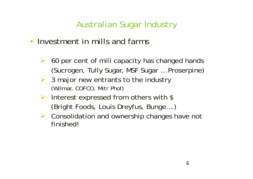- Investment in mills and farms
	- $\blacktriangleright$  60 per cent of mill capacity has changed hands (Sucrogen, Tully Sugar, MSF Sugar, MST sugar, Moserpine)
	- $\triangleright$  3 major new entrants to the industry (Wilmar, COFCO, Mitr Phol)
	- $\blacktriangleright$  Interest expressed from others with \$ (Bright Foods, Louis Dreyfus, Bunge....)
	- ▶ Consolidation and ownership changes have not finished!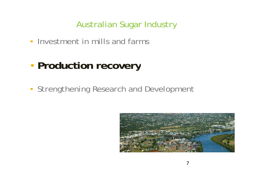• Investment in mills and farms

#### •**Production recovery**

• Strengthening Research and Development

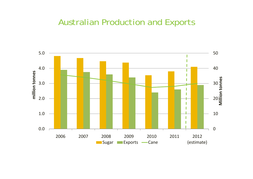#### Australian Production and Exports

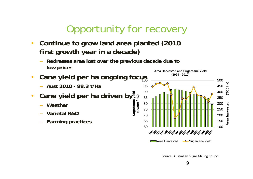## Opportunity for recovery

- $\bullet$  **Continue to grow land area planted (2010 first growth year in a decade)** 
	- **Redresses area lost over the previous decade due to low prices**
- •**• Cane yield per ha ongoing focus** 
	-
- $\bullet$ **Cane yield per ha driven by arcane yield** 
	- **Weather**
	- **Varietal R&D Suga (t**
	- **Farming practices**



Source: Australian Sugar Milling Council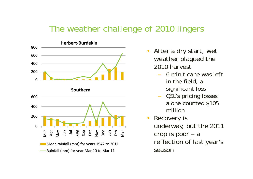### The weather challenge of 2010 lingers



- After a dry start, wet •weather plagued the 2010 harvest
	- 6 mln t cane was left in the field, a significant loss
	- QSL's pricing losses alone counted \$105 million
- • Recovery is underway, but the 2011 crop is poor – a reflection of last year's season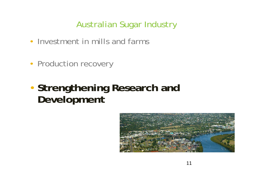- Investment in mills and farms
- Production recovery
- • **Strengthening Research and Development**

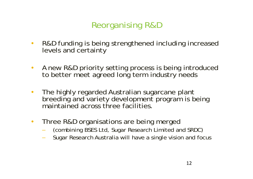## Reorganising R&D

- $\bullet$  R&D funding is being strengthened including increased levels and certainty
- $\bullet$  A new R&D priority setting process is being introduced to better meet agreed long term industry needs
- $\bullet$ The highly regarded Australian sugarcane plant breeding and variety development program is being maintained across three facilities.
- Three R&D organisations are being merged
	- (combining BSES Ltd, Sugar Research Limited and SRDC)
	- Sugar Research Australia will have a single vision and focus